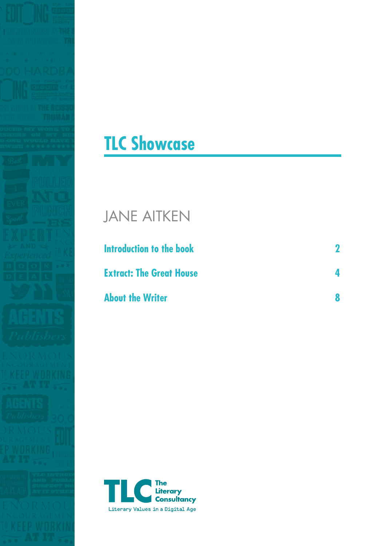



## JANE AITKEN

| Introduction to the book        |  |
|---------------------------------|--|
| <b>Extract: The Great House</b> |  |
| <b>About the Writer</b>         |  |

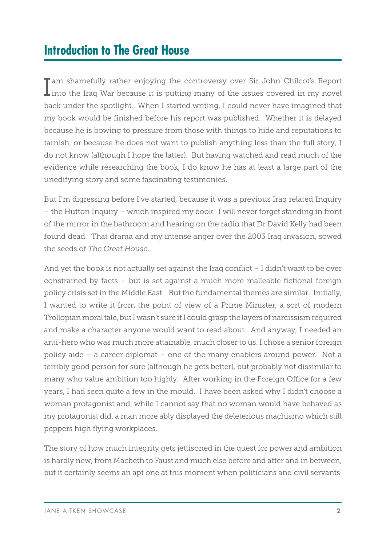## **Introduction to The Great House**

I am shamefully rather enjoying the controversy over Sir John Chilcot's Report<br>I into the Iraq War because it is putting many of the issues covered in my novel back under the spotlight. When I started writing, I could never have imagined that my book would be finished before his report was published. Whether it is delayed because he is bowing to pressure from those with things to hide and reputations to tarnish, or because he does not want to publish anything less than the full story, I do not know (although I hope the latter). But having watched and read much of the evidence while researching the book, I do know he has at least a large part of the unedifying story and some fascinating testimonies.

But I'm digressing before I've started, because it was a previous Iraq related Inquiry – the Hutton Inquiry – which inspired my book. I will never forget standing in front of the mirror in the bathroom and hearing on the radio that Dr David Kelly had been found dead. That drama and my intense anger over the 2003 Iraq invasion, sowed the seeds of *The Great House*.

And yet the book is not actually set against the Iraq conflict – I didn't want to be over constrained by facts – but is set against a much more malleable fictional foreign policy crisis set in the Middle East. But the fundamental themes are similar. Initially, I wanted to write it from the point of view of a Prime Minister, a sort of modern Trollopian moral tale, but I wasn't sure if I could grasp the layers of narcissism required and make a character anyone would want to read about. And anyway, I needed an anti-hero who was much more attainable, much closer to us. I chose a senior foreign policy aide – a career diplomat – one of the many enablers around power. Not a terribly good person for sure (although he gets better), but probably not dissimilar to many who value ambition too highly. After working in the Foreign Office for a few years, I had seen quite a few in the mould. I have been asked why I didn't choose a woman protagonist and, while I cannot say that no woman would have behaved as my protagonist did, a man more ably displayed the deleterious machismo which still peppers high flying workplaces.

The story of how much integrity gets jettisoned in the quest for power and ambition is hardly new, from Macbeth to Faust and much else before and after and in between, but it certainly seems an apt one at this moment when politicians and civil servants'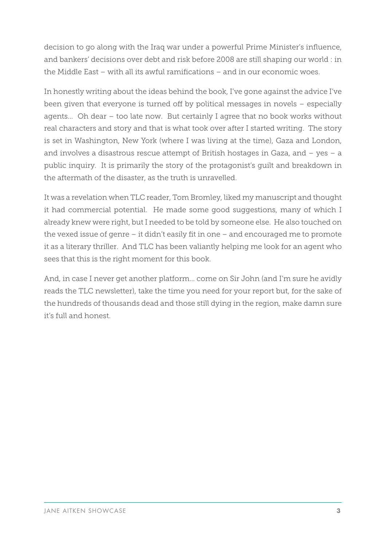decision to go along with the Iraq war under a powerful Prime Minister's influence, and bankers' decisions over debt and risk before 2008 are still shaping our world : in the Middle East – with all its awful ramifications – and in our economic woes.

In honestly writing about the ideas behind the book, I've gone against the advice I've been given that everyone is turned off by political messages in novels – especially agents... Oh dear – too late now. But certainly I agree that no book works without real characters and story and that is what took over after I started writing. The story is set in Washington, New York (where I was living at the time), Gaza and London, and involves a disastrous rescue attempt of British hostages in Gaza, and – yes – a public inquiry. It is primarily the story of the protagonist's guilt and breakdown in the aftermath of the disaster, as the truth is unravelled.

It was a revelation when TLC reader, Tom Bromley, liked my manuscript and thought it had commercial potential. He made some good suggestions, many of which I already knew were right, but I needed to be told by someone else. He also touched on the vexed issue of genre – it didn't easily fit in one – and encouraged me to promote it as a literary thriller. And TLC has been valiantly helping me look for an agent who sees that this is the right moment for this book.

And, in case I never get another platform… come on Sir John (and I'm sure he avidly reads the TLC newsletter), take the time you need for your report but, for the sake of the hundreds of thousands dead and those still dying in the region, make damn sure it's full and honest.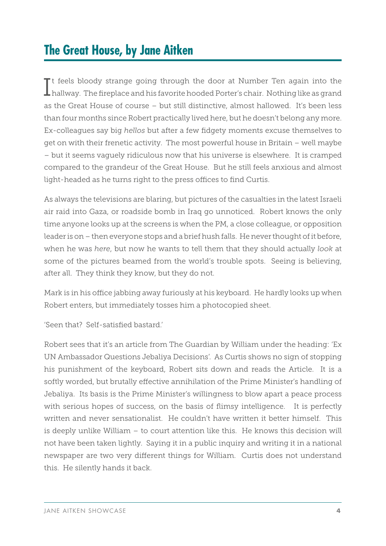## **The Great House, by Jane Aitken**

It feels bloody strange going through the door at Number Ten again into the hallway. The fireplace and his favorite hooded Porter's chair. Nothing like as grand  $\mathsf T$ t feels bloody strange going through the door at Number Ten again into the as the Great House of course – but still distinctive, almost hallowed. It's been less than four months since Robert practically lived here, but he doesn't belong any more. Ex-colleagues say big *hellos* but after a few fidgety moments excuse themselves to get on with their frenetic activity. The most powerful house in Britain – well maybe – but it seems vaguely ridiculous now that his universe is elsewhere. It is cramped compared to the grandeur of the Great House. But he still feels anxious and almost light-headed as he turns right to the press offices to find Curtis.

As always the televisions are blaring, but pictures of the casualties in the latest Israeli air raid into Gaza, or roadside bomb in Iraq go unnoticed. Robert knows the only time anyone looks up at the screens is when the PM, a close colleague, or opposition leader is on – then everyone stops and a brief hush falls. He never thought of it before, when he was *here*, but now he wants to tell them that they should actually *look* at some of the pictures beamed from the world's trouble spots. Seeing is believing, after all. They think they know, but they do not.

Mark is in his office jabbing away furiously at his keyboard. He hardly looks up when Robert enters, but immediately tosses him a photocopied sheet.

'Seen that? Self-satisfied bastard.'

Robert sees that it's an article from The Guardian by William under the heading: 'Ex UN Ambassador Questions Jebaliya Decisions'. As Curtis shows no sign of stopping his punishment of the keyboard, Robert sits down and reads the Article. It is a softly worded, but brutally effective annihilation of the Prime Minister's handling of Jebaliya. Its basis is the Prime Minister's willingness to blow apart a peace process with serious hopes of success, on the basis of flimsy intelligence. It is perfectly written and never sensationalist. He couldn't have written it better himself. This is deeply unlike William – to court attention like this. He knows this decision will not have been taken lightly. Saying it in a public inquiry and writing it in a national newspaper are two very different things for William. Curtis does not understand this. He silently hands it back.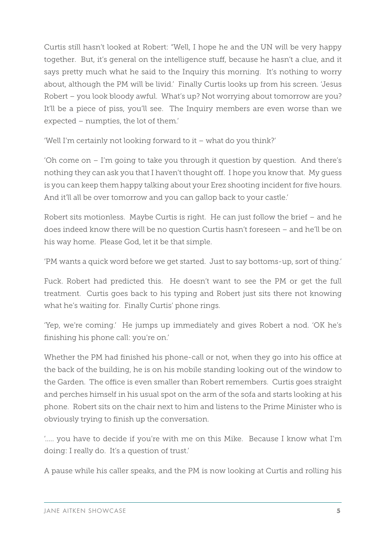Curtis still hasn't looked at Robert: "Well, I hope he and the UN will be very happy together. But, it's general on the intelligence stuff, because he hasn't a clue, and it says pretty much what he said to the Inquiry this morning. It's nothing to worry about, although the PM will be livid.' Finally Curtis looks up from his screen. 'Jesus Robert – you look bloody awful. What's up? Not worrying about tomorrow are you? It'll be a piece of piss, you'll see. The Inquiry members are even worse than we expected – numpties, the lot of them.'

'Well I'm certainly not looking forward to it – what do you think?'

'Oh come on – I'm going to take you through it question by question. And there's nothing they can ask you that I haven't thought off. I hope you know that. My guess is you can keep them happy talking about your Erez shooting incident for five hours. And it'll all be over tomorrow and you can gallop back to your castle.'

Robert sits motionless. Maybe Curtis is right. He can just follow the brief – and he does indeed know there will be no question Curtis hasn't foreseen – and he'll be on his way home. Please God, let it be that simple.

'PM wants a quick word before we get started. Just to say bottoms-up, sort of thing.'

Fuck. Robert had predicted this. He doesn't want to see the PM or get the full treatment. Curtis goes back to his typing and Robert just sits there not knowing what he's waiting for. Finally Curtis' phone rings.

'Yep, we're coming.' He jumps up immediately and gives Robert a nod. 'OK he's finishing his phone call: you're on.'

Whether the PM had finished his phone-call or not, when they go into his office at the back of the building, he is on his mobile standing looking out of the window to the Garden. The office is even smaller than Robert remembers. Curtis goes straight and perches himself in his usual spot on the arm of the sofa and starts looking at his phone. Robert sits on the chair next to him and listens to the Prime Minister who is obviously trying to finish up the conversation.

'….. you have to decide if you're with me on this Mike. Because I know what I'm doing: I really do. It's a question of trust.'

A pause while his caller speaks, and the PM is now looking at Curtis and rolling his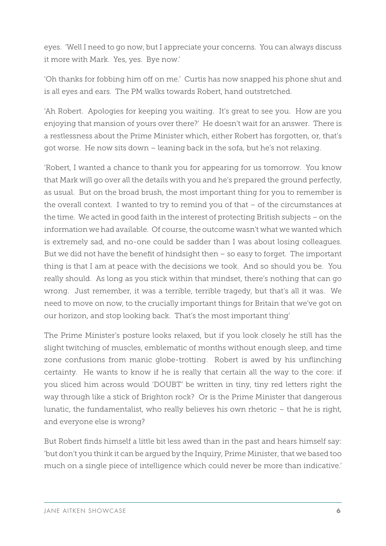eyes. 'Well I need to go now, but I appreciate your concerns. You can always discuss it more with Mark. Yes, yes. Bye now.'

'Oh thanks for fobbing him off on me.' Curtis has now snapped his phone shut and is all eyes and ears. The PM walks towards Robert, hand outstretched.

'Ah Robert. Apologies for keeping you waiting. It's great to see you. How are you enjoying that mansion of yours over there?' He doesn't wait for an answer. There is a restlessness about the Prime Minister which, either Robert has forgotten, or, that's got worse. He now sits down – leaning back in the sofa, but he's not relaxing.

'Robert, I wanted a chance to thank you for appearing for us tomorrow. You know that Mark will go over all the details with you and he's prepared the ground perfectly, as usual. But on the broad brush, the most important thing for you to remember is the overall context. I wanted to try to remind you of that – of the circumstances at the time. We acted in good faith in the interest of protecting British subjects – on the information we had available. Of course, the outcome wasn't what we wanted which is extremely sad, and no-one could be sadder than I was about losing colleagues. But we did not have the benefit of hindsight then – so easy to forget. The important thing is that I am at peace with the decisions we took. And so should you be. You really should. As long as you stick within that mindset, there's nothing that can go wrong. Just remember, it was a terrible, terrible tragedy, but that's all it was. We need to move on now, to the crucially important things for Britain that we've got on our horizon, and stop looking back. That's the most important thing'

The Prime Minister's posture looks relaxed, but if you look closely he still has the slight twitching of muscles, emblematic of months without enough sleep, and time zone confusions from manic globe-trotting. Robert is awed by his unflinching certainty. He wants to know if he is really that certain all the way to the core: if you sliced him across would 'DOUBT' be written in tiny, tiny red letters right the way through like a stick of Brighton rock? Or is the Prime Minister that dangerous lunatic, the fundamentalist, who really believes his own rhetoric – that he is right, and everyone else is wrong?

But Robert finds himself a little bit less awed than in the past and hears himself say: 'but don't you think it can be argued by the Inquiry, Prime Minister, that we based too much on a single piece of intelligence which could never be more than indicative.'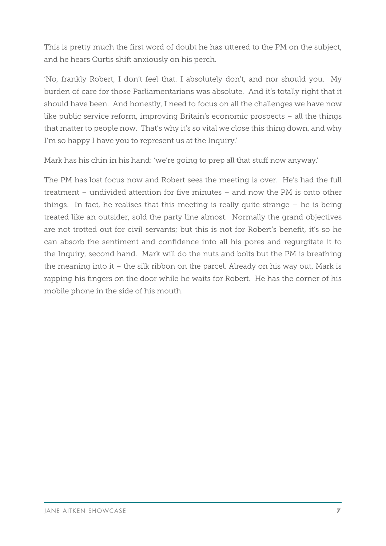This is pretty much the first word of doubt he has uttered to the PM on the subject, and he hears Curtis shift anxiously on his perch.

'No, frankly Robert, I don't feel that. I absolutely don't, and nor should you. My burden of care for those Parliamentarians was absolute. And it's totally right that it should have been. And honestly, I need to focus on all the challenges we have now like public service reform, improving Britain's economic prospects – all the things that matter to people now. That's why it's so vital we close this thing down, and why I'm so happy I have you to represent us at the Inquiry.'

Mark has his chin in his hand: 'we're going to prep all that stuff now anyway.'

The PM has lost focus now and Robert sees the meeting is over. He's had the full treatment – undivided attention for five minutes – and now the PM is onto other things. In fact, he realises that this meeting is really quite strange – he is being treated like an outsider, sold the party line almost. Normally the grand objectives are not trotted out for civil servants; but this is not for Robert's benefit, it's so he can absorb the sentiment and confidence into all his pores and regurgitate it to the Inquiry, second hand. Mark will do the nuts and bolts but the PM is breathing the meaning into it – the silk ribbon on the parcel. Already on his way out, Mark is rapping his fingers on the door while he waits for Robert. He has the corner of his mobile phone in the side of his mouth.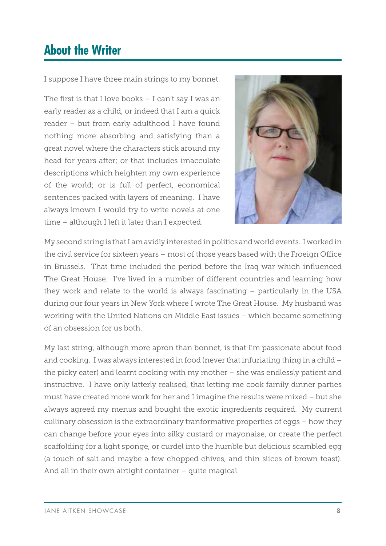## **About the Writer**

I suppose I have three main strings to my bonnet.

The first is that I love books – I can't say I was an early reader as a child, or indeed that I am a quick reader – but from early adulthood I have found nothing more absorbing and satisfying than a great novel where the characters stick around my head for years after; or that includes imacculate descriptions which heighten my own experience of the world; or is full of perfect, economical sentences packed with layers of meaning. I have always known I would try to write novels at one time – although I left it later than I expected.



My second string is that I am avidly interested in politics and world events. I worked in the civil service for sixteen years – most of those years based with the Froeign Office in Brussels. That time included the period before the Iraq war which influenced The Great House. I've lived in a number of different countries and learning how they work and relate to the world is always fascinating – particularly in the USA during our four years in New York where I wrote The Great House. My husband was working with the United Nations on Middle East issues – which became something of an obsession for us both.

My last string, although more apron than bonnet, is that I'm passionate about food and cooking. I was always interested in food (never that infuriating thing in a child – the picky eater) and learnt cooking with my mother – she was endlessly patient and instructive. I have only latterly realised, that letting me cook family dinner parties must have created more work for her and I imagine the results were mixed – but she always agreed my menus and bought the exotic ingredients required. My current cullinary obsession is the extraordinary tranformative properties of eggs – how they can change before your eyes into silky custard or mayonaise, or create the perfect scaffolding for a light sponge, or curdel into the humble but delicious scambled egg (a touch of salt and maybe a few chopped chives, and thin slices of brown toast). And all in their own airtight container – quite magical.